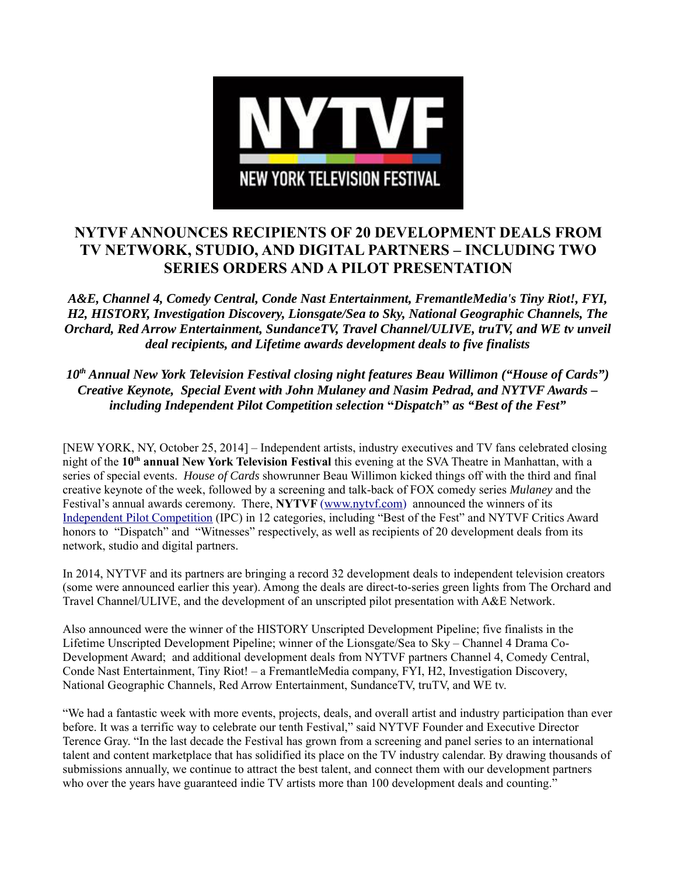

# **NYTVF ANNOUNCES RECIPIENTS OF 20 DEVELOPMENT DEALS FROM TV NETWORK, STUDIO, AND DIGITAL PARTNERS – INCLUDING TWO SERIES ORDERS AND A PILOT PRESENTATION**

*A&E, Channel 4, Comedy Central, Conde Nast Entertainment, FremantleMedia's Tiny Riot!, FYI, H2, HISTORY, Investigation Discovery, Lionsgate/Sea to Sky, National Geographic Channels, The Orchard, Red Arrow Entertainment, SundanceTV, Travel Channel/ULIVE, truTV, and WE tv unveil deal recipients, and Lifetime awards development deals to five finalists*

10<sup>th</sup> Annual New York Television Festival closing night features Beau Willimon ("House of Cards") *Creative Keynote, Special Event with John Mulaney and Nasim Pedrad, and NYTVF Awards – including Independent Pilot Competition selection* **"***Dispatch***"** *as "Best of the Fest"*

[NEW YORK, NY, October 25, 2014] – Independent artists, industry executives and TV fans celebrated closing night of the **10th annual New York Television Festival** this evening at the SVA Theatre in Manhattan, with a series of special events. *House of Cards* showrunner Beau Willimon kicked things off with the third and final creative keynote of the week, followed by a screening and talk-back of FOX comedy series *Mulaney* and the Festival's annual awards ceremony. There, **NYTVF** (www.nytvf.com) announced the winners of its Independent Pilot Competition (IPC) in 12 categories, including "Best of the Fest" and NYTVF Critics Award honors to "Dispatch" and "Witnesses" respectively, as well as recipients of 20 development deals from its network, studio and digital partners.

In 2014, NYTVF and its partners are bringing a record 32 development deals to independent television creators (some were announced earlier this year). Among the deals are direct-to-series green lights from The Orchard and Travel Channel/ULIVE, and the development of an unscripted pilot presentation with A&E Network.

Also announced were the winner of the HISTORY Unscripted Development Pipeline; five finalists in the Lifetime Unscripted Development Pipeline; winner of the Lionsgate/Sea to Sky – Channel 4 Drama Co-Development Award; and additional development deals from NYTVF partners Channel 4, Comedy Central, Conde Nast Entertainment, Tiny Riot! – a FremantleMedia company, FYI, H2, Investigation Discovery, National Geographic Channels, Red Arrow Entertainment, SundanceTV, truTV, and WE tv.

"We had a fantastic week with more events, projects, deals, and overall artist and industry participation than ever before. It was a terrific way to celebrate our tenth Festival," said NYTVF Founder and Executive Director Terence Gray. "In the last decade the Festival has grown from a screening and panel series to an international talent and content marketplace that has solidified its place on the TV industry calendar. By drawing thousands of submissions annually, we continue to attract the best talent, and connect them with our development partners who over the years have guaranteed indie TV artists more than 100 development deals and counting."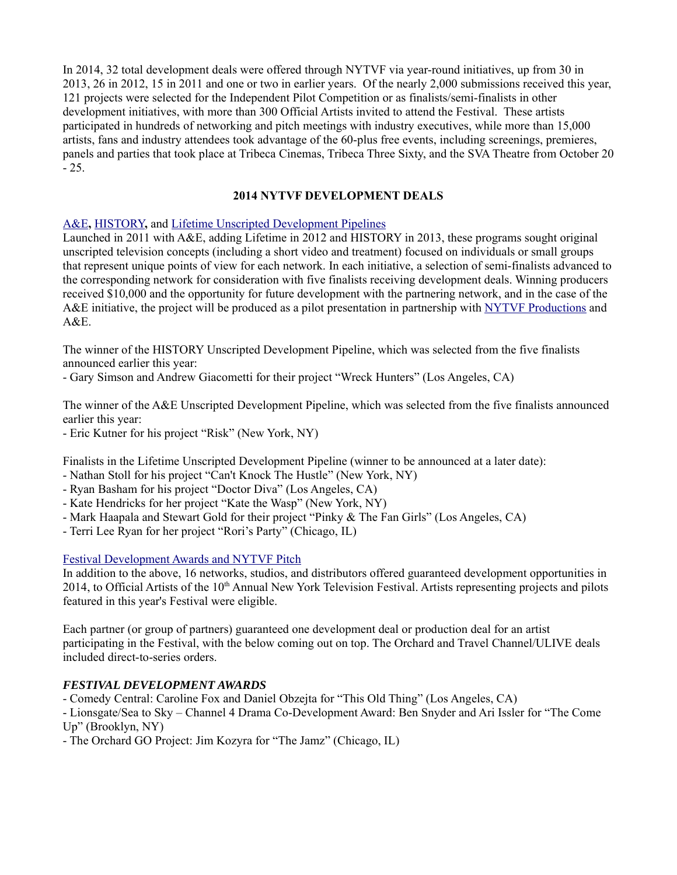In 2014, 32 total development deals were offered through NYTVF via year-round initiatives, up from 30 in 2013, 26 in 2012, 15 in 2011 and one or two in earlier years. Of the nearly 2,000 submissions received this year, 121 projects were selected for the Independent Pilot Competition or as finalists/semi-finalists in other development initiatives, with more than 300 Official Artists invited to attend the Festival. These artists participated in hundreds of networking and pitch meetings with industry executives, while more than 15,000 artists, fans and industry attendees took advantage of the 60-plus free events, including screenings, premieres, panels and parties that took place at Tribeca Cinemas, Tribeca Three Sixty, and the SVA Theatre from October 20  $-25.$ 

## **2014 NYTVF DEVELOPMENT DEALS**

#### A&E**,** HISTORY**,** and Lifetime Unscripted Development Pipelines

Launched in 2011 with A&E, adding Lifetime in 2012 and HISTORY in 2013, these programs sought original unscripted television concepts (including a short video and treatment) focused on individuals or small groups that represent unique points of view for each network. In each initiative, a selection of semi-finalists advanced to the corresponding network for consideration with five finalists receiving development deals. Winning producers received \$10,000 and the opportunity for future development with the partnering network, and in the case of the A&E initiative, the project will be produced as a pilot presentation in partnership with NYTVF Productions and  $A&E$ .

The winner of the HISTORY Unscripted Development Pipeline, which was selected from the five finalists announced earlier this year:

- Gary Simson and Andrew Giacometti for their project "Wreck Hunters" (Los Angeles, CA)

The winner of the A&E Unscripted Development Pipeline, which was selected from the five finalists announced earlier this year:

- Eric Kutner for his project "Risk" (New York, NY)

Finalists in the Lifetime Unscripted Development Pipeline (winner to be announced at a later date):

- Nathan Stoll for his project "Can't Knock The Hustle" (New York, NY)
- Ryan Basham for his project "Doctor Diva" (Los Angeles, CA)
- Kate Hendricks for her project "Kate the Wasp" (New York, NY)
- Mark Haapala and Stewart Gold for their project "Pinky & The Fan Girls" (Los Angeles, CA)
- Terri Lee Ryan for her project "Rori's Party" (Chicago, IL)

#### Festival Development Awards and NYTVF Pitch

In addition to the above, 16 networks, studios, and distributors offered guaranteed development opportunities in 2014, to Official Artists of the  $10<sup>th</sup>$  Annual New York Television Festival. Artists representing projects and pilots featured in this year's Festival were eligible.

Each partner (or group of partners) guaranteed one development deal or production deal for an artist participating in the Festival, with the below coming out on top. The Orchard and Travel Channel/ULIVE deals included direct-to-series orders.

#### *FESTIVAL DEVELOPMENT AWARDS*

- Comedy Central: Caroline Fox and Daniel Obzejta for "This Old Thing" (Los Angeles, CA)

- Lionsgate/Sea to Sky – Channel 4 Drama Co-Development Award: Ben Snyder and Ari Issler for "The Come Up" (Brooklyn, NY)

- The Orchard GO Project: Jim Kozyra for "The Jamz" (Chicago, IL)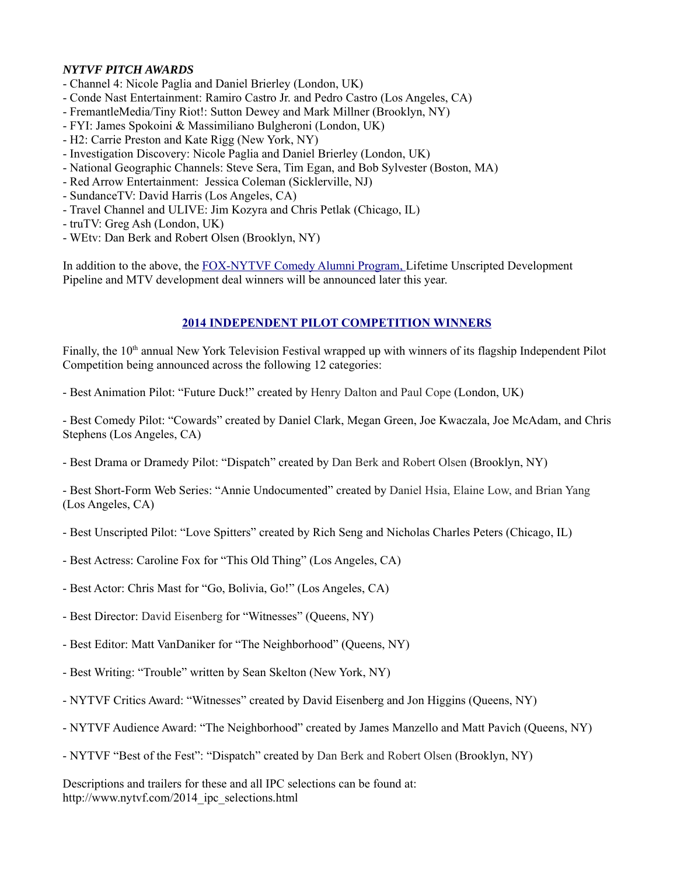## *NYTVF PITCH AWARDS*

- Channel 4: Nicole Paglia and Daniel Brierley (London, UK)
- Conde Nast Entertainment: Ramiro Castro Jr. and Pedro Castro (Los Angeles, CA)
- FremantleMedia/Tiny Riot!: Sutton Dewey and Mark Millner (Brooklyn, NY)
- FYI: James Spokoini & Massimiliano Bulgheroni (London, UK)
- H2: Carrie Preston and Kate Rigg (New York, NY)
- Investigation Discovery: Nicole Paglia and Daniel Brierley (London, UK)
- National Geographic Channels: Steve Sera, Tim Egan, and Bob Sylvester (Boston, MA)
- Red Arrow Entertainment: Jessica Coleman (Sicklerville, NJ)
- SundanceTV: David Harris (Los Angeles, CA)
- Travel Channel and ULIVE: Jim Kozyra and Chris Petlak (Chicago, IL)
- truTV: Greg Ash (London, UK)
- WEtv: Dan Berk and Robert Olsen (Brooklyn, NY)

In addition to the above, the FOX-NYTVF Comedy Alumni Program, Lifetime Unscripted Development Pipeline and MTV development deal winners will be announced later this year.

# **2014 INDEPENDENT PILOT COMPETITION WINNERS**

Finally, the 10<sup>th</sup> annual New York Television Festival wrapped up with winners of its flagship Independent Pilot Competition being announced across the following 12 categories:

- Best Animation Pilot: "Future Duck!" created by Henry Dalton and Paul Cope (London, UK)

- Best Comedy Pilot: "Cowards" created by Daniel Clark, Megan Green, Joe Kwaczala, Joe McAdam, and Chris Stephens (Los Angeles, CA)

- Best Drama or Dramedy Pilot: "Dispatch" created by Dan Berk and Robert Olsen (Brooklyn, NY)

- Best Short-Form Web Series: "Annie Undocumented" created by Daniel Hsia, Elaine Low, and Brian Yang (Los Angeles, CA)

- Best Unscripted Pilot: "Love Spitters" created by Rich Seng and Nicholas Charles Peters (Chicago, IL)
- Best Actress: Caroline Fox for "This Old Thing" (Los Angeles, CA)
- Best Actor: Chris Mast for "Go, Bolivia, Go!" (Los Angeles, CA)
- Best Director: David Eisenberg for "Witnesses" (Queens, NY)
- Best Editor: Matt VanDaniker for "The Neighborhood" (Queens, NY)
- Best Writing: "Trouble" written by Sean Skelton (New York, NY)
- NYTVF Critics Award: "Witnesses" created by David Eisenberg and Jon Higgins (Queens, NY)
- NYTVF Audience Award: "The Neighborhood" created by James Manzello and Matt Pavich (Queens, NY)
- NYTVF "Best of the Fest": "Dispatch" created by Dan Berk and Robert Olsen (Brooklyn, NY)

Descriptions and trailers for these and all IPC selections can be found at: http://www.nytvf.com/2014\_ipc\_selections.html